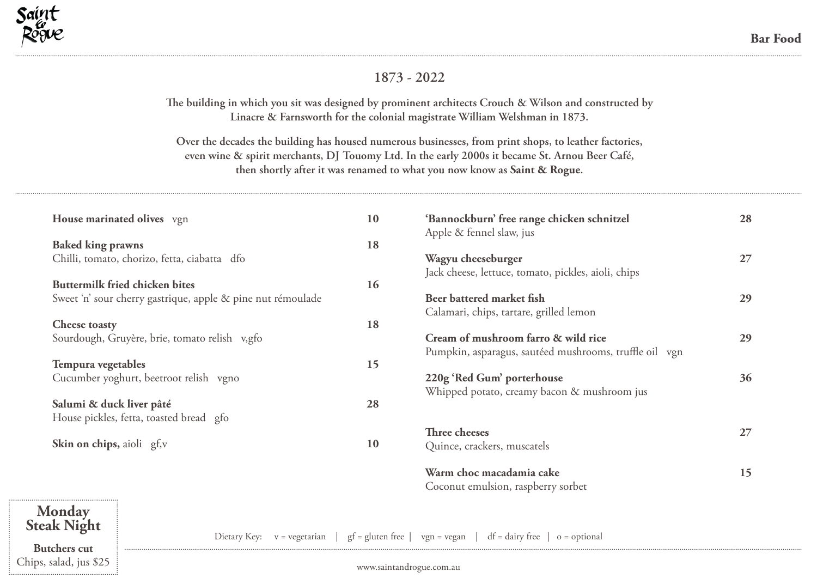

## **1873 - 2022**

**The building in which you sit was designed by prominent architects Crouch & Wilson and constructed by Linacre & Farnsworth for the colonial magistrate William Welshman in 1873.** 

**Over the decades the building has housed numerous businesses, from print shops, to leather factories, even wine & spirit merchants, DJ Touomy Ltd. In the early 2000s it became St. Arnou Beer Café, then shortly after it was renamed to what you now know as Saint & Rogue.**

|                                         | House marinated olives vgn                                  | 10                               | 'Bannockburn' free range chicken schnitzel<br>Apple & fennel slaw, jus | 28 |
|-----------------------------------------|-------------------------------------------------------------|----------------------------------|------------------------------------------------------------------------|----|
| <b>Baked king prawns</b>                |                                                             | 18                               |                                                                        |    |
|                                         | Chilli, tomato, chorizo, fetta, ciabatta dfo                |                                  | Wagyu cheeseburger                                                     | 27 |
|                                         |                                                             |                                  | Jack cheese, lettuce, tomato, pickles, aioli, chips                    |    |
|                                         | <b>Buttermilk fried chicken bites</b>                       | 16                               |                                                                        |    |
|                                         | Sweet 'n' sour cherry gastrique, apple & pine nut rémoulade |                                  | Beer battered market fish                                              | 29 |
|                                         |                                                             |                                  | Calamari, chips, tartare, grilled lemon                                |    |
| <b>Cheese toasty</b>                    |                                                             | 18                               |                                                                        |    |
|                                         | Sourdough, Gruyère, brie, tomato relish v,gfo               |                                  | Cream of mushroom farro & wild rice                                    | 29 |
|                                         |                                                             |                                  | Pumpkin, asparagus, sautéed mushrooms, truffle oil vgn                 |    |
| Tempura vegetables                      |                                                             | 15                               |                                                                        |    |
| Cucumber yoghurt, beetroot relish vgno  |                                                             |                                  | 220g 'Red Gum' porterhouse                                             | 36 |
|                                         |                                                             |                                  | Whipped potato, creamy bacon & mushroom jus                            |    |
| Salumi & duck liver pâté                |                                                             | 28                               |                                                                        |    |
| House pickles, fetta, toasted bread gfo |                                                             |                                  |                                                                        |    |
|                                         |                                                             |                                  | Three cheeses                                                          | 27 |
| Skin on chips, aioli gf,v               |                                                             | 10                               | Quince, crackers, muscatels                                            |    |
|                                         |                                                             |                                  | Warm choc macadamia cake                                               | 15 |
|                                         |                                                             |                                  | Coconut emulsion, raspberry sorbet                                     |    |
| Monday<br><b>Steak Night</b>            |                                                             |                                  |                                                                        |    |
|                                         | Dietary Key: $v = \text{vegetarian}$                        | $gf = gluten free$   vgn = vegan | $df = dairy free$<br>$o =$ optional                                    |    |

**Butchers cut** Chips, salad, jus \$25

www.saintandrogue.com.au